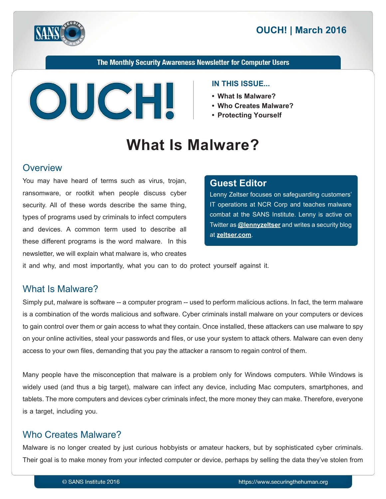

The Monthly Security Awareness Newsletter for Computer Users



#### **IN THIS ISSUE...**

- What Is Malware?
- Who Creates Malware?
- **Yourself Protecting•**

# **What Is Malware?**

#### **Overview**

You may have heard of terms such as virus, trojan, ransomware, or rootkit when people discuss cyber security. All of these words describe the same thing, types of programs used by criminals to infect computers and devices. A common term used to describe all these different programs is the word malware. In this newsletter, we will explain what malware is, who creates

#### **Editor Guest**

Lenny Zeltser focuses on safeguarding customers' IT operations at NCR Corp and teaches malware combat at the SANS Institute. Lenny is active on Fwitter as **@[lennyzeltser](https://twitter.com/lennyzeltser?lang=en)** and writes a security blog at zeltser.com.

it and why, and most importantly, what you can to do protect yourself against it.

## What Is Malware?

Simply put, malware is software -- a computer program -- used to perform malicious actions. In fact, the term malware is a combination of the words malicious and software. Cyber criminals install malware on your computers or devices to gain control over them or gain access to what they contain. Once installed, these attackers can use malware to spy on your online activities, steal your passwords and files, or use your system to attack others. Malware can even deny access to your own files, demanding that you pay the attacker a ransom to regain control of them.

Many people have the misconception that malware is a problem only for Windows computers. While Windows is widely used (and thus a big target), malware can infect any device, including Mac computers, smartphones, and tablets. The more computers and devices cyber criminals infect, the more money they can make. Therefore, everyone is a target, including you.

# Who Creates Malware?

Malware is no longer created by just curious hobbyists or amateur hackers, but by sophisticated cyber criminals. Their goal is to make money from your infected computer or device, perhaps by selling the data they've stolen from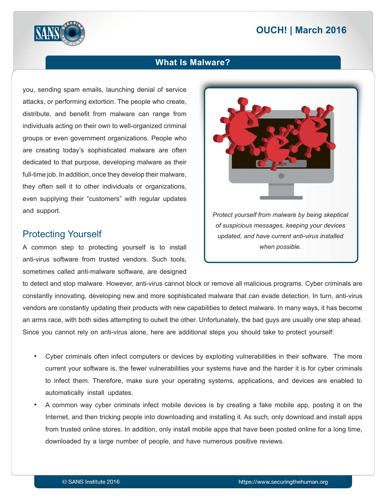# **2016 March 2016**



#### **What Is Malware?**

you, sending spam emails, launching denial of service attacks, or performing extortion. The people who create, distribute, and benefit from malware can range from individuals acting on their own to well-organized criminal groups or even government organizations. People who are creating today's sophisticated malware are often dedicated to that purpose, developing malware as their full-time job. In addition, once they develop their malware, they often sell it to other individuals or organizations, even supplying their "customers" with regular updates and support.

#### **Protecting Yourself**

A common step to protecting yourself is to install anti-virus software from trusted vendors. Such tools, sometimes called anti-malware software, are designed



to detect and stop malware. However, anti-virus cannot block or remove all malicious programs. Cyber criminals are constantly innovating, developing new and more sophisticated malware that can evade detection. In turn, anti-virus vendors are constantly updating their products with new capabilities to detect malware. In many ways, it has become an arms race, with both sides attempting to outwit the other. Unfortunately, the bad guys are usually one step ahead. Since you cannot rely on anti-virus alone, here are additional steps you should take to protect yourself:

- Cyber criminals often infect computers or devices by exploiting vulnerabilities in their software. The more current your software is, the fewer vulnerabilities your systems have and the harder it is for cyber criminals to infect them. Therefore, make sure your operating systems, applications, and devices are enabled to automatically install updates.
- A common way cyber criminals infect mobile devices is by creating a fake mobile app, posting it on the Internet, and then tricking people into downloading and installing it. As such, only download and install apps from trusted online stores. In addition, only install mobile apps that have been posted online for a long time, downloaded by a large number of people, and have numerous positive reviews.